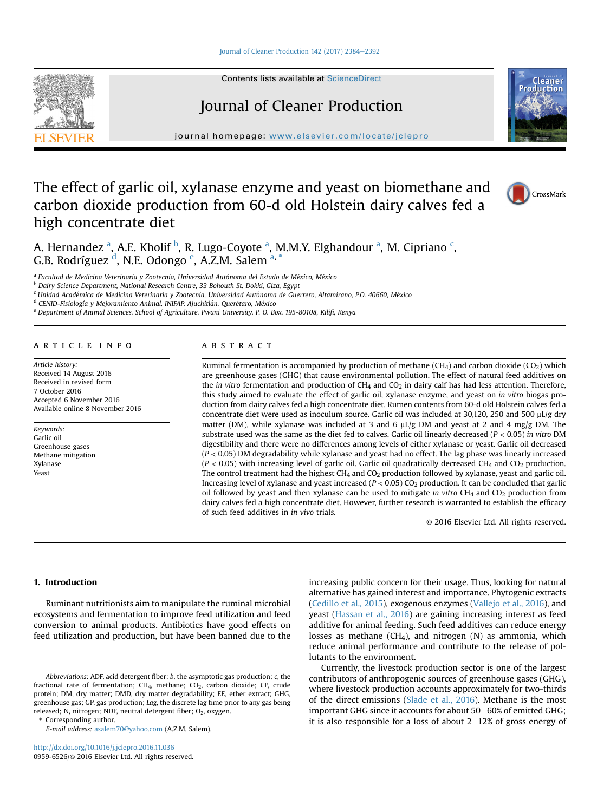#### [Journal of Cleaner Production 142 \(2017\) 2384](http://dx.doi.org/10.1016/j.jclepro.2016.11.036)-[2392](http://dx.doi.org/10.1016/j.jclepro.2016.11.036)



# Journal of Cleaner Production

journal homepage: [www.elsevier.com/locate/jclepro](http://www.elsevier.com/locate/jclepro)

# The effect of garlic oil, xylanase enzyme and yeast on biomethane and carbon dioxide production from 60-d old Holstein dairy calves fed a high concentrate diet



Cleane Productior

A. Hernandez <sup>a</sup>, A.E. Kholif <sup>b</sup>, R. Lugo-Coyote <sup>a</sup>, M.M.Y. Elghandour <sup>a</sup>, M. Cipriano <sup>c</sup>, G.B. Rodríguez <sup>d</sup>, N.E. Odongo <sup>e</sup>, A.Z.M. Salem <sup>a, \*</sup>

<sup>a</sup> Facultad de Medicina Veterinaria y Zootecnia, Universidad Autónoma del Estado de México, México

<sup>b</sup> Dairy Science Department, National Research Centre, 33 Bohouth St. Dokki, Giza, Egypt

<sup>c</sup> Unidad Académica de Medicina Veterinaria y Zootecnia, Universidad Autónoma de Guerrero, Altamirano, P.O. 40660, México

<sup>d</sup> CENID-Fisiología y Mejoramiento Animal, INIFAP, Ajuchitlán, Querétaro, México

<sup>e</sup> Department of Animal Sciences, School of Agriculture, Pwani University, P. O. Box, 195-80108, Kilifi, Kenya

#### article info

Article history: Received 14 August 2016 Received in revised form 7 October 2016 Accepted 6 November 2016 Available online 8 November 2016

Keywords: Garlic oil Greenhouse gases Methane mitigation Xylanase Yeast

# **ABSTRACT**

Ruminal fermentation is accompanied by production of methane (CH<sub>4</sub>) and carbon dioxide (CO<sub>2</sub>) which are greenhouse gases (GHG) that cause environmental pollution. The effect of natural feed additives on the in vitro fermentation and production of  $CH_4$  and  $CO_2$  in dairy calf has had less attention. Therefore, this study aimed to evaluate the effect of garlic oil, xylanase enzyme, and yeast on in vitro biogas production from dairy calves fed a high concentrate diet. Rumen contents from 60-d old Holstein calves fed a concentrate diet were used as inoculum source. Garlic oil was included at 30,120, 250 and 500  $\mu$ L/g dry matter (DM), while xylanase was included at 3 and 6  $\mu L/g$  DM and yeast at 2 and 4 mg/g DM. The substrate used was the same as the diet fed to calves. Garlic oil linearly decreased ( $P < 0.05$ ) in vitro DM digestibility and there were no differences among levels of either xylanase or yeast. Garlic oil decreased  $(P < 0.05)$  DM degradability while xylanase and yeast had no effect. The lag phase was linearly increased  $(P < 0.05)$  with increasing level of garlic oil. Garlic oil quadratically decreased CH<sub>4</sub> and CO<sub>2</sub> production. The control treatment had the highest  $CH<sub>4</sub>$  and  $CO<sub>2</sub>$  production followed by xylanase, yeast and garlic oil. Increasing level of xylanase and yeast increased ( $P < 0.05$ ) CO<sub>2</sub> production. It can be concluded that garlic oil followed by yeast and then xylanase can be used to mitigate in vitro  $CH<sub>4</sub>$  and  $CO<sub>2</sub>$  production from dairy calves fed a high concentrate diet. However, further research is warranted to establish the efficacy of such feed additives in in vivo trials.

© 2016 Elsevier Ltd. All rights reserved.

# 1. Introduction

Ruminant nutritionists aim to manipulate the ruminal microbial ecosystems and fermentation to improve feed utilization and feed conversion to animal products. Antibiotics have good effects on feed utilization and production, but have been banned due to the

Corresponding author.

increasing public concern for their usage. Thus, looking for natural alternative has gained interest and importance. Phytogenic extracts ([Cedillo et al., 2015\)](#page-7-0), exogenous enzymes [\(Vallejo et al., 2016](#page-8-0)), and yeast [\(Hassan et al., 2016\)](#page-7-0) are gaining increasing interest as feed additive for animal feeding. Such feed additives can reduce energy losses as methane ( $CH<sub>4</sub>$ ), and nitrogen (N) as ammonia, which reduce animal performance and contribute to the release of pollutants to the environment.

Currently, the livestock production sector is one of the largest contributors of anthropogenic sources of greenhouse gases (GHG), where livestock production accounts approximately for two-thirds of the direct emissions [\(Slade et al., 2016\)](#page-8-0). Methane is the most important GHG since it accounts for about  $50-60\%$  of emitted GHG; it is also responsible for a loss of about  $2-12\%$  of gross energy of

Abbreviations: ADF, acid detergent fiber; b, the asymptotic gas production; c, the fractional rate of fermentation;  $CH<sub>4</sub>$ , methane;  $CO<sub>2</sub>$ , carbon dioxide; CP, crude protein; DM, dry matter; DMD, dry matter degradability; EE, ether extract; GHG, greenhouse gas; GP, gas production; Lag, the discrete lag time prior to any gas being released; N, nitrogen; NDF, neutral detergent fiber; O<sub>2</sub>, oxygen.

E-mail address: [asalem70@yahoo.com](mailto:asalem70@yahoo.com) (A.Z.M. Salem).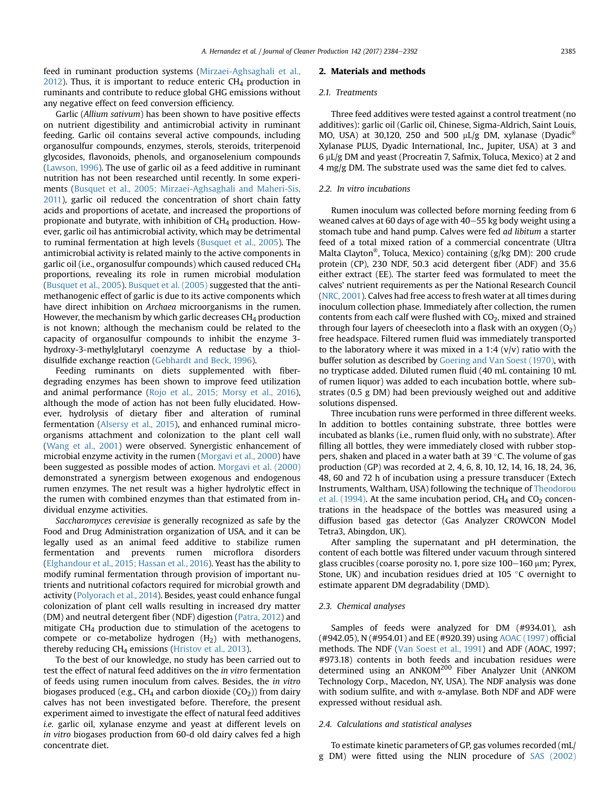feed in ruminant production systems [\(Mirzaei-Aghsaghali et al.,](#page-8-0)  $2012$ ). Thus, it is important to reduce enteric CH<sub>4</sub> production in ruminants and contribute to reduce global GHG emissions without any negative effect on feed conversion efficiency.

Garlic (Allium sativum) has been shown to have positive effects on nutrient digestibility and antimicrobial activity in ruminant feeding. Garlic oil contains several active compounds, including organosulfur compounds, enzymes, sterols, steroids, triterpenoid glycosides, flavonoids, phenols, and organoselenium compounds ([Lawson, 1996](#page-7-0)). The use of garlic oil as a feed additive in ruminant nutrition has not been researched until recently. In some experiments ([Busquet et al., 2005; Mirzaei-Aghsaghali and Maheri-Sis,](#page-7-0) [2011](#page-7-0)), garlic oil reduced the concentration of short chain fatty acids and proportions of acetate, and increased the proportions of propionate and butyrate, with inhibition of  $CH<sub>4</sub>$  production. However, garlic oil has antimicrobial activity, which may be detrimental to ruminal fermentation at high levels ([Busquet et al., 2005\)](#page-7-0). The antimicrobial activity is related mainly to the active components in garlic oil (i.e., organosulfur compounds) which caused reduced CH4 proportions, revealing its role in rumen microbial modulation ([Busquet et al., 2005\)](#page-7-0). [Busquet et al. \(2005\)](#page-7-0) suggested that the antimethanogenic effect of garlic is due to its active components which have direct inhibition on Archaea microorganisms in the rumen. However, the mechanism by which garlic decreases  $CH_4$  production is not known; although the mechanism could be related to the capacity of organosulfur compounds to inhibit the enzyme 3 hydroxy-3-methylglutaryl coenzyme A reductase by a thioldisulfide exchange reaction ([Gebhardt and Beck, 1996\)](#page-7-0).

Feeding ruminants on diets supplemented with fiberdegrading enzymes has been shown to improve feed utilization and animal performance ([Rojo et al., 2015; Morsy et al., 2016\)](#page-8-0), although the mode of action has not been fully elucidated. However, hydrolysis of dietary fiber and alteration of ruminal fermentation [\(Alsersy et al., 2015](#page-7-0)), and enhanced ruminal microorganisms attachment and colonization to the plant cell wall ([Wang et al., 2001\)](#page-8-0) were observed. Synergistic enhancement of microbial enzyme activity in the rumen [\(Morgavi et al., 2000\)](#page-8-0) have been suggested as possible modes of action. [Morgavi et al. \(2000\)](#page-8-0) demonstrated a synergism between exogenous and endogenous rumen enzymes. The net result was a higher hydrolytic effect in the rumen with combined enzymes than that estimated from individual enzyme activities.

Saccharomyces cerevisiae is generally recognized as safe by the Food and Drug Administration organization of USA, and it can be legally used as an animal feed additive to stabilize rumen fermentation and prevents rumen microflora disorders ([Elghandour et al., 2015; Hassan et al., 2016](#page-7-0)). Yeast has the ability to modify ruminal fermentation through provision of important nutrients and nutritional cofactors required for microbial growth and activity [\(Polyorach et al., 2014\)](#page-8-0). Besides, yeast could enhance fungal colonization of plant cell walls resulting in increased dry matter (DM) and neutral detergent fiber (NDF) digestion [\(Patra, 2012](#page-8-0)) and mitigate  $CH<sub>4</sub>$  production due to stimulation of the acetogens to compete or co-metabolize hydrogen  $(H<sub>2</sub>)$  with methanogens, thereby reducing  $CH_4$  emissions ([Hristov et al., 2013](#page-7-0)).

To the best of our knowledge, no study has been carried out to test the effect of natural feed additives on the in vitro fermentation of feeds using rumen inoculum from calves. Besides, the in vitro biogases produced (e.g.,  $CH_4$  and carbon dioxide (CO<sub>2</sub>)) from dairy calves has not been investigated before. Therefore, the present experiment aimed to investigate the effect of natural feed additives i.e. garlic oil, xylanase enzyme and yeast at different levels on in vitro biogases production from 60-d old dairy calves fed a high concentrate diet.

#### 2. Materials and methods

### 2.1. Treatments

Three feed additives were tested against a control treatment (no additives): garlic oil (Garlic oil, Chinese, Sigma-Aldrich, Saint Louis, MO, USA) at 30,120, 250 and 500  $\mu$ L/g DM, xylanase (Dyadic® Xylanase PLUS, Dyadic International, Inc., Jupiter, USA) at 3 and  $6 \mu L/g$  DM and yeast (Procreatin 7, Safmix, Toluca, Mexico) at 2 and 4 mg/g DM. The substrate used was the same diet fed to calves.

### 2.2. In vitro incubations

Rumen inoculum was collected before morning feeding from 6 weaned calves at 60 days of age with  $40-55$  kg body weight using a stomach tube and hand pump. Calves were fed ad libitum a starter feed of a total mixed ration of a commercial concentrate (Ultra Malta Clayton®, Toluca, Mexico) containing (g/kg DM): 200 crude protein (CP), 230 NDF, 50.3 acid detergent fiber (ADF) and 35.6 either extract (EE). The starter feed was formulated to meet the calves' nutrient requirements as per the National Research Council ([NRC, 2001\)](#page-8-0). Calves had free access to fresh water at all times during inoculum collection phase. Immediately after collection, the rumen contents from each calf were flushed with  $CO<sub>2</sub>$ , mixed and strained through four layers of cheesecloth into a flask with an oxygen  $(O_2)$ free headspace. Filtered rumen fluid was immediately transported to the laboratory where it was mixed in a 1:4  $(v/v)$  ratio with the buffer solution as described by [Goering and Van Soest \(1970\),](#page-7-0) with no trypticase added. Diluted rumen fluid (40 mL containing 10 mL of rumen liquor) was added to each incubation bottle, where substrates (0.5 g DM) had been previously weighed out and additive solutions dispensed.

Three incubation runs were performed in three different weeks. In addition to bottles containing substrate, three bottles were incubated as blanks (i.e., rumen fluid only, with no substrate). After filling all bottles, they were immediately closed with rubber stoppers, shaken and placed in a water bath at 39 $\degree$ C. The volume of gas production (GP) was recorded at 2, 4, 6, 8, 10, 12, 14, 16, 18, 24, 36, 48, 60 and 72 h of incubation using a pressure transducer (Extech Instruments, Waltham, USA) following the technique of [Theodorou](#page-8-0) [et al. \(1994\)](#page-8-0). At the same incubation period,  $CH<sub>4</sub>$  and  $CO<sub>2</sub>$  concentrations in the headspace of the bottles was measured using a diffusion based gas detector (Gas Analyzer CROWCON Model Tetra3, Abingdon, UK).

After sampling the supernatant and pH determination, the content of each bottle was filtered under vacuum through sintered glass crucibles (coarse porosity no. 1, pore size 100-160 µm; Pyrex, Stone, UK) and incubation residues dried at 105 $\degree$ C overnight to estimate apparent DM degradability (DMD).

# 2.3. Chemical analyses

Samples of feeds were analyzed for DM (#934.01), ash (#942.05), N (#954.01) and EE (#920.39) using [AOAC \(1997\)](#page-7-0) official methods. The NDF ([Van Soest et al., 1991](#page-8-0)) and ADF (AOAC, 1997; #973.18) contents in both feeds and incubation residues were determined using an ANKOM<sup>200</sup> Fiber Analyzer Unit (ANKOM Technology Corp., Macedon, NY, USA). The NDF analysis was done with sodium sulfite, and with  $\alpha$ -amylase. Both NDF and ADF were expressed without residual ash.

### 2.4. Calculations and statistical analyses

To estimate kinetic parameters of GP, gas volumes recorded (mL/ g DM) were fitted using the NLIN procedure of [SAS \(2002\)](#page-8-0)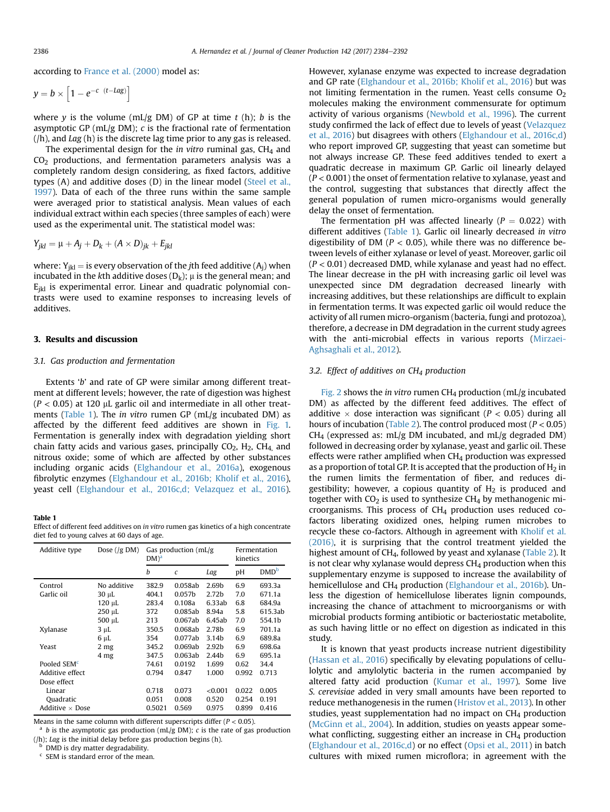according to [France et al. \(2000\)](#page-7-0) model as:

$$
y = b \times \left[1 - e^{-c \ (t - Lag)}\right]
$$

where y is the volume (mL/g DM) of GP at time  $t$  (h); b is the asymptotic GP (mL/g DM); c is the fractional rate of fermentation (/h), and Lag (h) is the discrete lag time prior to any gas is released.

The experimental design for the in vitro ruminal gas,  $CH<sub>4</sub>$  and CO2 productions, and fermentation parameters analysis was a completely random design considering, as fixed factors, additive types (A) and additive doses (D) in the linear model ([Steel et al.,](#page-8-0) [1997](#page-8-0)). Data of each of the three runs within the same sample were averaged prior to statistical analysis. Mean values of each individual extract within each species (three samples of each) were used as the experimental unit. The statistical model was:

$$
Y_{jkl} = \mu + A_j + D_k + (A \times D)_{jk} + E_{jkl}
$$

where:  $Y_{ikl}$  = is every observation of the *j*th feed additive ( $A_i$ ) when incubated in the kth additive doses ( $D_k$ );  $\mu$  is the general mean; and  $E_{ikl}$  is experimental error. Linear and quadratic polynomial contrasts were used to examine responses to increasing levels of additives.

## 3. Results and discussion

### 3.1. Gas production and fermentation

Extents 'b' and rate of GP were similar among different treatment at different levels; however, the rate of digestion was highest  $(P < 0.05)$  at 120 µL garlic oil and intermediate in all other treatments (Table 1). The in vitro rumen GP (mL/g incubated DM) as affected by the different feed additives are shown in [Fig. 1.](#page-3-0) Fermentation is generally index with degradation yielding short chain fatty acids and various gases, principally  $CO<sub>2</sub>$ ,  $H<sub>2</sub>$ ,  $CH<sub>4</sub>$  and nitrous oxide; some of which are affected by other substances including organic acids [\(Elghandour et al., 2016a\)](#page-7-0), exogenous fibrolytic enzymes ([Elghandour et al., 2016b; Kholif et al., 2016\)](#page-7-0), yeast cell ([Elghandour et al., 2016c,d; Velazquez et al., 2016\)](#page-7-0).

#### Table 1

Effect of different feed additives on in vitro rumen gas kinetics of a high concentrate diet fed to young calves at 60 days of age.

| Additive type           | Dose $( g \text{ DM})$ | $DM)^{a}$ | Gas production $(mL/g)$ | Fermentation<br>kinetics |       |                  |  |
|-------------------------|------------------------|-----------|-------------------------|--------------------------|-------|------------------|--|
|                         |                        | h         | $\epsilon$              | Lag                      | рH    | DMD <sup>b</sup> |  |
| Control                 | No additive            | 382.9     | 0.058ab                 | 2.69b                    | 6.9   | 693.3a           |  |
| Garlic oil              | 30 µL                  | 404.1     | 0.057 <sub>b</sub>      | 2.72 <sub>b</sub>        | 7.0   | 671.1a           |  |
|                         | 120 µL                 | 283.4     | 0.108a                  | 6.33ab                   | 6.8   | 684.9a           |  |
|                         | $250 \mu L$            | 372       | 0.085ab                 | 8.94a                    |       | 615.3ab          |  |
|                         | $500 \mu L$            | 213       | 0.067ab                 | 6.45ab                   | 7.0   | 554.1b           |  |
| Xylanase                | 3 µL                   | 350.5     | 0.068ab                 | 2.78 <sub>b</sub>        | 6.9   | 701.1a           |  |
|                         | 6 µL                   | 354       | 0.077ab                 | 3.14 <sub>b</sub>        | 6.9   | 689.8a           |  |
| Yeast                   | 2 <sub>mg</sub>        | 345.2     | 0.069ab                 | 2.92 <sub>b</sub>        | 6.9   | 698.6a           |  |
|                         | 4 mg                   | 347.5     | 0.063ab                 | 2.44 <sub>b</sub>        | 6.9   | 695.1a           |  |
| Pooled SEM <sup>c</sup> |                        | 74.61     | 0.0192                  | 1.699                    | 0.62  | 34.4             |  |
| Additive effect         |                        | 0.794     | 0.847                   | 1.000                    | 0.992 | 0.713            |  |
| Dose effect             |                        |           |                         |                          |       |                  |  |
| Linear                  |                        | 0.718     | 0.073                   | <0.001                   | 0.022 | 0.005            |  |
| Quadratic               |                        | 0.051     | 0.008                   | 0.520                    | 0.254 | 0.191            |  |
| Additive $\times$ Dose  |                        | 0.5021    | 0.569                   | 0.975                    | 0.899 | 0.416            |  |

Means in the same column with different superscripts differ ( $P < 0.05$ ).

 $a$  b is the asymptotic gas production (mL/g DM); c is the rate of gas production  $(h)$ ; Lag is the initial delay before gas production begins  $(h)$ .

<sup>b</sup> DMD is dry matter degradability.

<sup>c</sup> SEM is standard error of the mean.

However, xylanase enzyme was expected to increase degradation and GP rate [\(Elghandour et al., 2016b; Kholif et al., 2016\)](#page-7-0) but was not limiting fermentation in the rumen. Yeast cells consume  $O<sub>2</sub>$ molecules making the environment commensurate for optimum activity of various organisms ([Newbold et al., 1996\)](#page-8-0). The current study confirmed the lack of effect due to levels of yeast [\(Velazquez](#page-8-0) [et al., 2016](#page-8-0)) but disagrees with others ([Elghandour et al., 2016c,d\)](#page-7-0) who report improved GP, suggesting that yeast can sometime but not always increase GP. These feed additives tended to exert a quadratic decrease in maximum GP. Garlic oil linearly delayed  $(P < 0.001)$  the onset of fermentation relative to xylanase, yeast and the control, suggesting that substances that directly affect the general population of rumen micro-organisms would generally delay the onset of fermentation.

The fermentation pH was affected linearly ( $P = 0.022$ ) with different additives (Table 1). Garlic oil linearly decreased in vitro digestibility of DM ( $P < 0.05$ ), while there was no difference between levels of either xylanase or level of yeast. Moreover, garlic oil  $(P < 0.01)$  decreased DMD, while xylanase and yeast had no effect. The linear decrease in the pH with increasing garlic oil level was unexpected since DM degradation decreased linearly with increasing additives, but these relationships are difficult to explain in fermentation terms. It was expected garlic oil would reduce the activity of all rumen micro-organism (bacteria, fungi and protozoa), therefore, a decrease in DM degradation in the current study agrees with the anti-microbial effects in various reports [\(Mirzaei-](#page-8-0)[Aghsaghali et al., 2012\)](#page-8-0).

## 3.2. Effect of additives on  $CH<sub>4</sub>$  production

[Fig. 2](#page-4-0) shows the in vitro rumen  $CH_4$  production (mL/g incubated DM) as affected by the different feed additives. The effect of additive  $\times$  dose interaction was significant ( $P < 0.05$ ) during all hours of incubation ([Table 2](#page-5-0)). The control produced most ( $P < 0.05$ )  $CH<sub>4</sub>$  (expressed as: mL/g DM incubated, and mL/g degraded DM) followed in decreasing order by xylanase, yeast and garlic oil. These effects were rather amplified when  $CH<sub>4</sub>$  production was expressed as a proportion of total GP. It is accepted that the production of  $H_2$  in the rumen limits the fermentation of fiber, and reduces digestibility; however, a copious quantity of  $H_2$  is produced and together with  $CO<sub>2</sub>$  is used to synthesize CH<sub>4</sub> by methanogenic microorganisms. This process of CH4 production uses reduced cofactors liberating oxidized ones, helping rumen microbes to recycle these co-factors. Although in agreement with [Kholif et al.](#page-7-0) [\(2016\)](#page-7-0), it is surprising that the control treatment yielded the highest amount of CH<sub>4</sub>, followed by yeast and xylanase ([Table 2](#page-5-0)). It is not clear why xylanase would depress  $CH<sub>4</sub>$  production when this supplementary enzyme is supposed to increase the availability of hemicellulose and CH<sub>4</sub> production ([Elghandour et al., 2016b](#page-7-0)). Unless the digestion of hemicellulose liberates lignin compounds, increasing the chance of attachment to microorganisms or with microbial products forming antibiotic or bacteriostatic metabolite, as such having little or no effect on digestion as indicated in this study.

It is known that yeast products increase nutrient digestibility ([Hassan et al., 2016\)](#page-7-0) specifically by elevating populations of cellulolytic and amylolytic bacteria in the rumen accompanied by altered fatty acid production ([Kumar et al., 1997](#page-7-0)). Some live S. cerevisiae added in very small amounts have been reported to reduce methanogenesis in the rumen ([Hristov et al., 2013](#page-7-0)). In other studies, yeast supplementation had no impact on CH<sub>4</sub> production ([McGinn et al., 2004\)](#page-8-0). In addition, studies on yeasts appear somewhat conflicting, suggesting either an increase in CH<sub>4</sub> production ([Elghandour et al., 2016c,d](#page-7-0)) or no effect ([Opsi et al., 2011\)](#page-8-0) in batch cultures with mixed rumen microflora; in agreement with the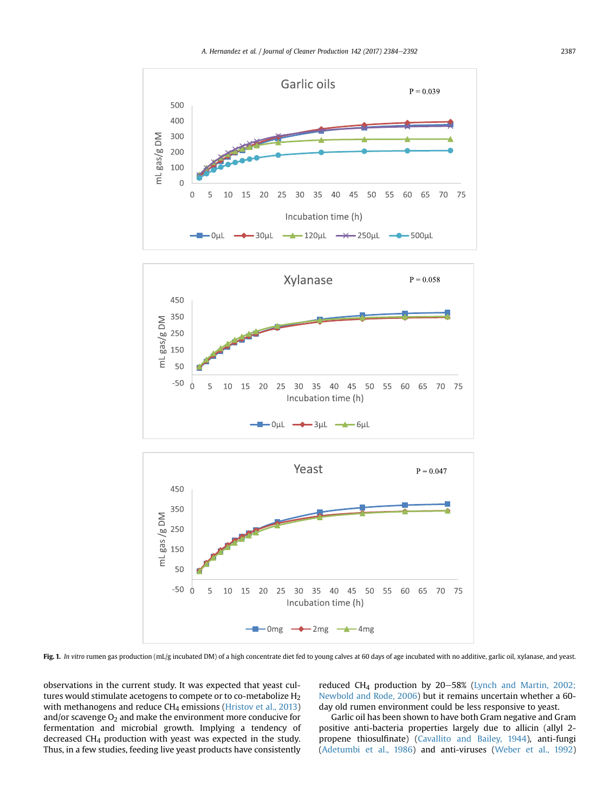<span id="page-3-0"></span>

Fig. 1. In vitro rumen gas production (mL/g incubated DM) of a high concentrate diet fed to young calves at 60 days of age incubated with no additive, garlic oil, xylanase, and yeast.

observations in the current study. It was expected that yeast cultures would stimulate acetogens to compete or to co-metabolize H<sub>2</sub> with methanogens and reduce  $CH_4$  emissions [\(Hristov et al., 2013\)](#page-7-0) and/or scavenge  $O_2$  and make the environment more conducive for fermentation and microbial growth. Implying a tendency of decreased CH4 production with yeast was expected in the study. Thus, in a few studies, feeding live yeast products have consistently

reduced CH<sub>4</sub> production by  $20-58%$  [\(Lynch and Martin, 2002;](#page-7-0) [Newbold and Rode, 2006\)](#page-7-0) but it remains uncertain whether a 60 day old rumen environment could be less responsive to yeast.

Garlic oil has been shown to have both Gram negative and Gram positive anti-bacteria properties largely due to allicin (allyl 2 propene thiosulfinate) [\(Cavallito and Bailey, 1944](#page-7-0)), anti-fungi ([Adetumbi et al., 1986\)](#page-7-0) and anti-viruses [\(Weber et al., 1992\)](#page-8-0)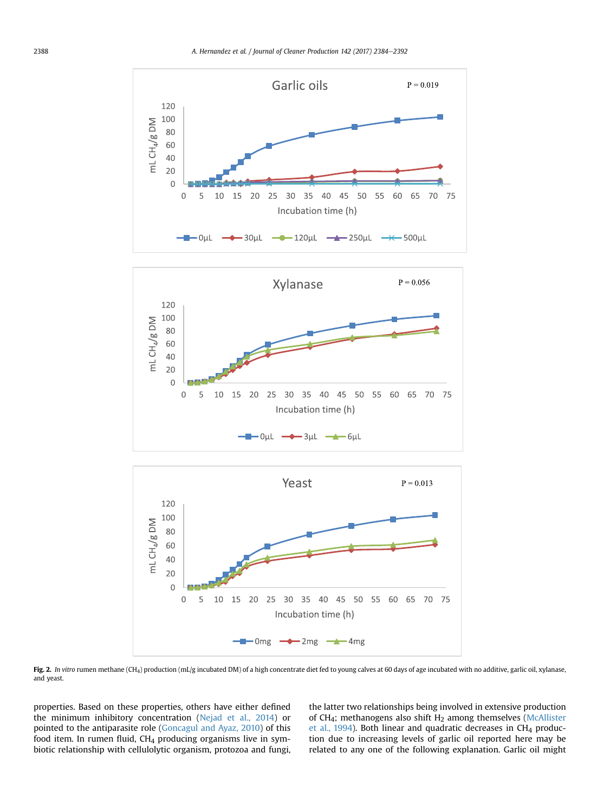<span id="page-4-0"></span>



 $\rightarrow$  OµL  $\rightarrow$  3µL  $\rightarrow$  6µL

Fig. 2. In vitro rumen methane (CH<sub>4</sub>) production (mL/g incubated DM) of a high concentrate diet fed to young calves at 60 days of age incubated with no additive, garlic oil, xylanase, and yeast.

properties. Based on these properties, others have either defined the minimum inhibitory concentration [\(Nejad et al., 2014\)](#page-8-0) or pointed to the antiparasite role [\(Goncagul and Ayaz, 2010\)](#page-7-0) of this food item. In rumen fluid,  $CH<sub>4</sub>$  producing organisms live in symbiotic relationship with cellulolytic organism, protozoa and fungi,

the latter two relationships being involved in extensive production of CH<sub>4</sub>; methanogens also shift H<sub>2</sub> among themselves [\(McAllister](#page-8-0) [et al., 1994](#page-8-0)). Both linear and quadratic decreases in CH4 production due to increasing levels of garlic oil reported here may be related to any one of the following explanation. Garlic oil might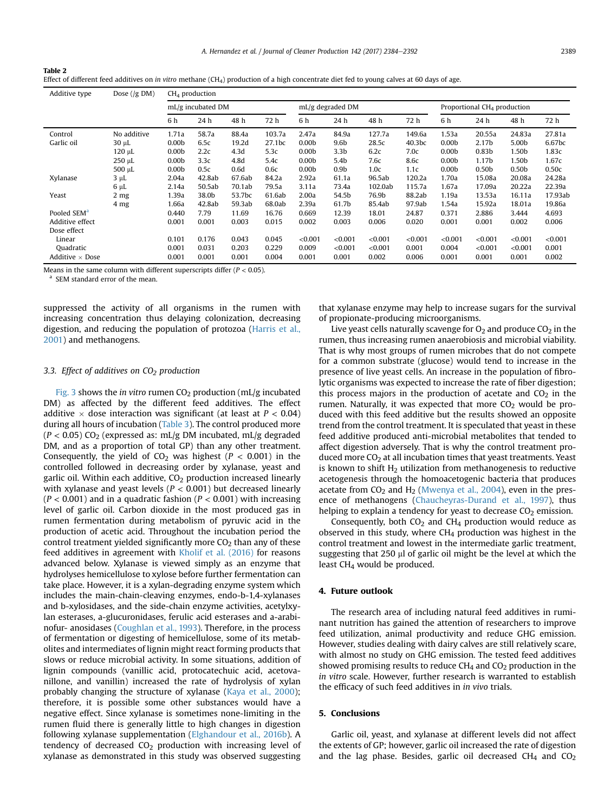A. Hernandez et al. / Journal of Cleaner Production 142 (2017) 2384–2392 2389

<span id="page-5-0"></span>

| Table 2                                                                                                                                      |
|----------------------------------------------------------------------------------------------------------------------------------------------|
| Effect of different feed additives on in vitro methane $(CH_4)$ production of a high concentrate diet fed to young calves at 60 days of age. |

| Additive type           | Dose $( g \text{ DM})$ | $CH4$ production  |        |        |                  |                   |                  |         |                                         |                   |                   |                   |         |
|-------------------------|------------------------|-------------------|--------|--------|------------------|-------------------|------------------|---------|-----------------------------------------|-------------------|-------------------|-------------------|---------|
|                         | mL/g incubated DM      |                   |        |        | mL/g degraded DM |                   |                  |         | Proportional CH <sub>4</sub> production |                   |                   |                   |         |
|                         |                        | 6 h               | 24 h   | 48 h   | 72 h             | 6h                | 24 h             | 48 h    | 72 h                                    | 6 h               | 24 h              | 48 h              | 72 h    |
| Control                 | No additive            | 1.71a             | 58.7a  | 88.4a  | 103.7a           | 2.47a             | 84.9a            | 127.7a  | 149.6a                                  | 1.53a             | 20.55a            | 24.83a            | 27.81a  |
| Garlic oil              | $30 \mu L$             | 0.00 <sub>b</sub> | 6.5c   | 19.2d  | 27.1bc           | 0.00 <sub>b</sub> | 9.6 <sub>b</sub> | 28.5c   | 40.3bc                                  | 0.00 <sub>b</sub> | 2.17 <sub>b</sub> | 5.00b             | 6.67bc  |
|                         | 120 µL                 | 0.00 <sub>b</sub> | 2.2c   | 4.3d   | 5.3c             | 0.00 <sub>b</sub> | 3.3 <sub>b</sub> | 6.2c    | 7.0c                                    | 0.00 <sub>b</sub> | 0.83 <sub>b</sub> | 1.50b             | 1.83c   |
|                         | 250 µL                 | 0.00 <sub>b</sub> | 3.3c   | 4.8d   | 5.4c             | 0.00 <sub>b</sub> | 5.4 <sub>b</sub> | 7.6c    | 8.6c                                    | 0.00 <sub>b</sub> | 1.17 <sub>b</sub> | 1.50b             | 1.67c   |
|                         | 500 µL                 | 0.00 <sub>b</sub> | 0.5c   | 0.6d   | 0.6c             | 0.00 <sub>b</sub> | 0.9 <sub>b</sub> | 1.0c    | 1.1c                                    | 0.00 <sub>b</sub> | 0.50 <sub>b</sub> | 0.50 <sub>b</sub> | 0.50c   |
| Xylanase                | $3 \mu L$              | 2.04a             | 42.8ab | 67.6ab | 84.2a            | 2.92a             | 61.1a            | 96.5ab  | 120.2a                                  | 1.70a             | 15.08a            | 20.08a            | 24.28a  |
|                         | $6 \mu L$              | 2.14a             | 50.5ab | 70.1ab | 79.5a            | 3.11a             | 73.4a            | 102.0ab | 115.7a                                  | 1.67a             | 17.09a            | 20.22a            | 22.39a  |
| Yeast                   | 2 mg                   | 1.39a             | 38.0b  | 53.7bc | 61.6ab           | 2.00a             | 54.5b            | 76.9b   | 88.2ab                                  | 1.19a             | 13.53a            | 16.11a            | 17.93ab |
|                         | 4 <sub>mg</sub>        | 1.66a             | 42.8ab | 59.3ab | 68.0ab           | 2.39a             | 61.7b            | 85.4ab  | 97.9ab                                  | 1.54a             | 15.92a            | 18.01a            | 19.86a  |
| Pooled SEM <sup>a</sup> |                        | 0.440             | 7.79   | 11.69  | 16.76            | 0.669             | 12.39            | 18.01   | 24.87                                   | 0.371             | 2.886             | 3.444             | 4.693   |
| Additive effect         |                        | 0.001             | 0.001  | 0.003  | 0.015            | 0.002             | 0.003            | 0.006   | 0.020                                   | 0.001             | 0.001             | 0.002             | 0.006   |
| Dose effect             |                        |                   |        |        |                  |                   |                  |         |                                         |                   |                   |                   |         |
| Linear                  |                        | 0.101             | 0.176  | 0.043  | 0.045            | < 0.001           | < 0.001          | < 0.001 | < 0.001                                 | < 0.001           | < 0.001           | < 0.001           | < 0.001 |
| Quadratic               |                        | 0.001             | 0.031  | 0.203  | 0.229            | 0.009             | < 0.001          | < 0.001 | 0.001                                   | 0.004             | < 0.001           | < 0.001           | 0.001   |
| Additive $\times$ Dose  |                        | 0.001             | 0.001  | 0.001  | 0.004            | 0.001             | 0.001            | 0.002   | 0.006                                   | 0.001             | 0.001             | 0.001             | 0.002   |

Means in the same column with different superscripts differ ( $P < 0.05$ ).

SEM standard error of the mean.

suppressed the activity of all organisms in the rumen with increasing concentration thus delaying colonization, decreasing digestion, and reducing the population of protozoa [\(Harris et al.,](#page-7-0) [2001\)](#page-7-0) and methanogens.

# 3.3. Effect of additives on  $CO<sub>2</sub>$  production

[Fig. 3](#page-6-0) shows the in vitro rumen  $CO<sub>2</sub>$  production (mL/g incubated DM) as affected by the different feed additives. The effect additive  $\times$  dose interaction was significant (at least at  $P < 0.04$ ) during all hours of incubation [\(Table 3\)](#page-7-0). The control produced more  $(P < 0.05)$  CO<sub>2</sub> (expressed as: mL/g DM incubated, mL/g degraded DM, and as a proportion of total GP) than any other treatment. Consequently, the yield of  $CO<sub>2</sub>$  was highest ( $P < 0.001$ ) in the controlled followed in decreasing order by xylanase, yeast and garlic oil. Within each additive,  $CO<sub>2</sub>$  production increased linearly with xylanase and yeast levels ( $P < 0.001$ ) but decreased linearly  $(P < 0.001)$  and in a quadratic fashion  $(P < 0.001)$  with increasing level of garlic oil. Carbon dioxide in the most produced gas in rumen fermentation during metabolism of pyruvic acid in the production of acetic acid. Throughout the incubation period the control treatment yielded significantly more  $CO<sub>2</sub>$  than any of these feed additives in agreement with [Kholif et al. \(2016\)](#page-7-0) for reasons advanced below. Xylanase is viewed simply as an enzyme that hydrolyses hemicellulose to xylose before further fermentation can take place. However, it is a xylan-degrading enzyme system which includes the main-chain-cleaving enzymes, endo-b-1,4-xylanases and b-xylosidases, and the side-chain enzyme activities, acetylxylan esterases, a-glucuronidases, ferulic acid esterases and a-arabinofur- anosidases [\(Coughlan et al., 1993\)](#page-7-0). Therefore, in the process of fermentation or digesting of hemicellulose, some of its metabolites and intermediates of lignin might react forming products that slows or reduce microbial activity. In some situations, addition of lignin compounds (vanillic acid, protocatechuic acid, acetovanillone, and vanillin) increased the rate of hydrolysis of xylan probably changing the structure of xylanase ([Kaya et al., 2000\)](#page-7-0); therefore, it is possible some other substances would have a negative effect. Since xylanase is sometimes none-limiting in the rumen fluid there is generally little to high changes in digestion following xylanase supplementation [\(Elghandour et al., 2016b](#page-7-0)). A tendency of decreased  $CO<sub>2</sub>$  production with increasing level of xylanase as demonstrated in this study was observed suggesting

that xylanase enzyme may help to increase sugars for the survival of propionate-producing microorganisms.

Live yeast cells naturally scavenge for  $O_2$  and produce  $CO_2$  in the rumen, thus increasing rumen anaerobiosis and microbial viability. That is why most groups of rumen microbes that do not compete for a common substrate (glucose) would tend to increase in the presence of live yeast cells. An increase in the population of fibrolytic organisms was expected to increase the rate of fiber digestion; this process majors in the production of acetate and  $CO<sub>2</sub>$  in the rumen. Naturally, it was expected that more  $CO<sub>2</sub>$  would be produced with this feed additive but the results showed an opposite trend from the control treatment. It is speculated that yeast in these feed additive produced anti-microbial metabolites that tended to affect digestion adversely. That is why the control treatment produced more CO<sub>2</sub> at all incubation times that yeast treatments. Yeast is known to shift  $H<sub>2</sub>$  utilization from methanogenesis to reductive acetogenesis through the homoacetogenic bacteria that produces acetate from  $CO<sub>2</sub>$  and  $H<sub>2</sub>$  ([Mwenya et al., 2004](#page-8-0)), even in the presence of methanogens ([Chaucheyras-Durand et al., 1997\)](#page-7-0), thus helping to explain a tendency for yeast to decrease  $CO<sub>2</sub>$  emission.

Consequently, both  $CO<sub>2</sub>$  and  $CH<sub>4</sub>$  production would reduce as observed in this study, where  $CH<sub>4</sub>$  production was highest in the control treatment and lowest in the intermediate garlic treatment, suggesting that  $250 \mu$  of garlic oil might be the level at which the least CH<sub>4</sub> would be produced.

## 4. Future outlook

The research area of including natural feed additives in ruminant nutrition has gained the attention of researchers to improve feed utilization, animal productivity and reduce GHG emission. However, studies dealing with dairy calves are still relatively scare, with almost no study on GHG emission. The tested feed additives showed promising results to reduce  $CH<sub>4</sub>$  and  $CO<sub>2</sub>$  production in the in vitro scale. However, further research is warranted to establish the efficacy of such feed additives in in vivo trials.

# 5. Conclusions

Garlic oil, yeast, and xylanase at different levels did not affect the extents of GP; however, garlic oil increased the rate of digestion and the lag phase. Besides, garlic oil decreased  $CH<sub>4</sub>$  and  $CO<sub>2</sub>$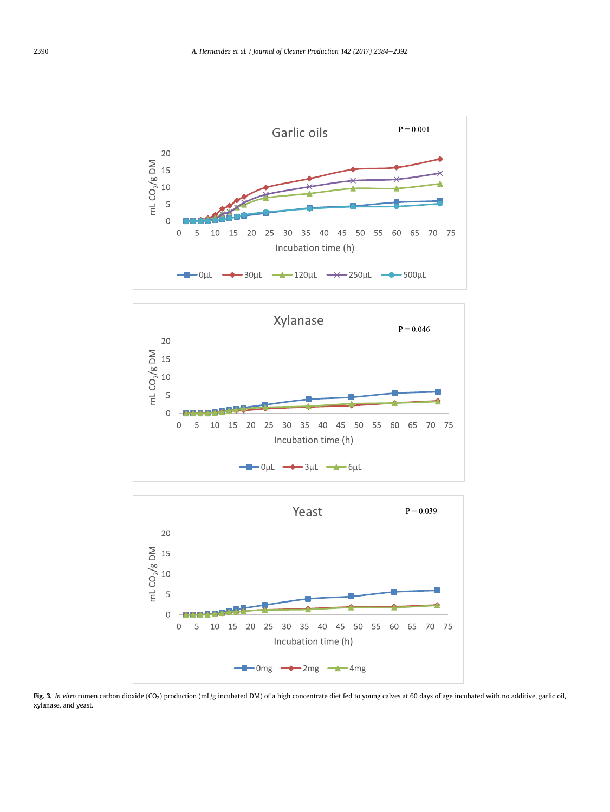<span id="page-6-0"></span>





Fig. 3. In vitro rumen carbon dioxide (CO<sub>2</sub>) production (mL/g incubated DM) of a high concentrate diet fed to young calves at 60 days of age incubated with no additive, garlic oil, xylanase, and yeast.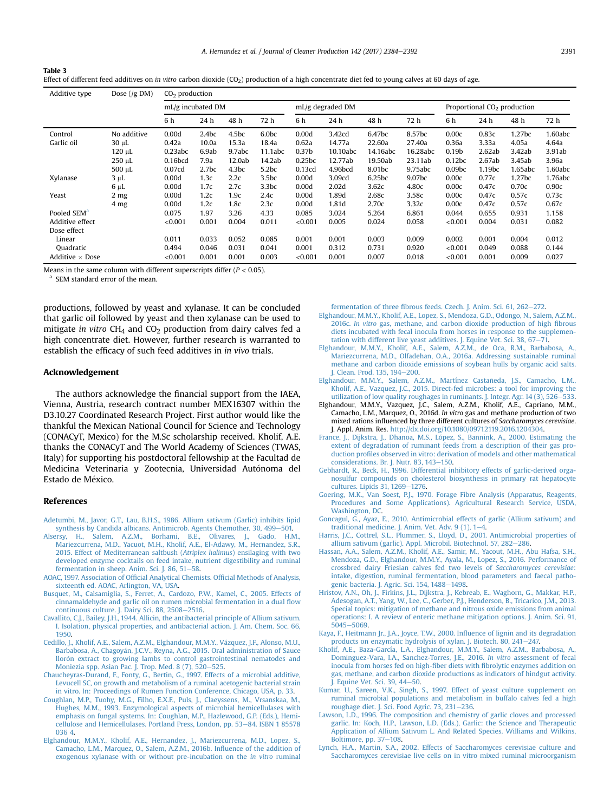A. Hernandez et al. / Journal of Cleaner Production 142 (2017) 2384-2392

| I<br>$\sim$ | I<br>$\sim$ |  |
|-------------|-------------|--|
|             |             |  |

| -нине э                                                                                                                                            |  |
|----------------------------------------------------------------------------------------------------------------------------------------------------|--|
| Effect of different feed additives on in vitro carbon dioxide $(CO2)$ production of a high concentrate diet fed to young calves at 60 days of age. |  |

| Additive type           | Dose $( g DM)$  | $CO2$ production      |                   |                   |                   |                   |                   |                    |          |                                         |        |                    |         |
|-------------------------|-----------------|-----------------------|-------------------|-------------------|-------------------|-------------------|-------------------|--------------------|----------|-----------------------------------------|--------|--------------------|---------|
| mL/g incubated DM       |                 |                       |                   |                   | mL/g degraded DM  |                   |                   |                    |          | Proportional CO <sub>2</sub> production |        |                    |         |
|                         |                 | 6 h                   | 24 h              | 48 h              | 72 h              | 6 h               | 24 h              | 48 h               | 72 h     | 6 h                                     | 24 h   | 48 h               | 72 h    |
| Control                 | No additive     | 0.00d                 | 2.4 <sub>bc</sub> | 4.5 <sub>bc</sub> | 6.0bc             | 0.00d             | 3.42cd            | 6.47bc             | 8.57bc   | 0.00c                                   | 0.83c  | 1.27 <sub>bc</sub> | 1.60abc |
| Garlic oil              | 30 µL           | 0.42a                 | 10.0a             | 15.3a             | 18.4a             | 0.62a             | 14.77a            | 22.60a             | 27.40a   | 0.36a                                   | 3.33a  | 4.05a              | 4.64a   |
|                         | 120 µL          | 0.23abc               | 6.9ab             | 9.7abc            | 11.1abc           | 0.37 <sub>b</sub> | 10.10abc          | 14.16abc           | 16.28abc | 0.19 <sub>b</sub>                       | 2.62ab | 3.42ab             | 3.91ab  |
|                         | $250 \mu L$     | $0.16$ <sub>bcd</sub> | 7.9a              | 12.0ab            | 14.2ab            | 0.25bc            | 12.77ab           | 19.50ab            | 23.11ab  | 0.12bc                                  | 2.67ab | 3.45ab             | 3.96a   |
|                         | $500 \mu L$     | 0.07 <sub>cd</sub>    | 2.7 <sub>bc</sub> | 4.3 <sub>bc</sub> | 5.2bc             | 0.13cd            | 4.96bcd           | 8.01 <sub>bc</sub> | 9.75abc  | 0.09 <sub>bc</sub>                      | 1.19bc | 1.65abc            | 1.60abc |
| Xylanase                | 3 µL            | 0.00d                 | 1.3c              | 2.2c              | 3.5 <sub>bc</sub> | 0.00d             | 3.09cd            | 6.25bc             | 9.07bc   | 0.00c                                   | 0.77c  | 1.27 <sub>bc</sub> | 1.76abc |
|                         | $6 \mu L$       | 0.00d                 | 1.7c              | 2.7c              | 3.3bc             | 0.00d             | 2.02 <sub>d</sub> | 3.62c              | 4.80c    | 0.00c                                   | 0.47c  | 0.70c              | 0.90c   |
| Yeast                   | 2 <sub>mg</sub> | 0.00d                 | 1.2c              | 1.9c              | 2.4c              | 0.00d             | 1.89d             | 2.68c              | 3.58c    | 0.00c                                   | 0.47c  | 0.57c              | 0.73c   |
|                         | 4 <sub>mg</sub> | 0.00d                 | 1.2c              | 1.8 <sub>c</sub>  | 2.3c              | 0.00d             | 1.81d             | 2.70c              | 3.32c    | 0.00c                                   | 0.47c  | 0.57c              | 0.67c   |
| Pooled SEM <sup>a</sup> |                 | 0.075                 | 1.97              | 3.26              | 4.33              | 0.085             | 3.024             | 5.264              | 6.861    | 0.044                                   | 0.655  | 0.931              | 1.158   |
| Additive effect         |                 | < 0.001               | 0.001             | 0.004             | 0.011             | < 0.001           | 0.005             | 0.024              | 0.058    | < 0.001                                 | 0.004  | 0.031              | 0.082   |
| Dose effect             |                 |                       |                   |                   |                   |                   |                   |                    |          |                                         |        |                    |         |
| Linear                  |                 | 0.011                 | 0.033             | 0.052             | 0.085             | 0.001             | 0.001             | 0.003              | 0.009    | 0.002                                   | 0.001  | 0.004              | 0.012   |
| Quadratic               |                 | 0.494                 | 0.046             | 0.031             | 0.041             | 0.001             | 0.312             | 0.731              | 0.920    | < 0.001                                 | 0.049  | 0.088              | 0.144   |
| Additive $\times$ Dose  |                 | < 0.001               | 0.001             | 0.001             | 0.003             | < 0.001           | 0.001             | 0.007              | 0.018    | < 0.001                                 | 0.001  | 0.009              | 0.027   |

Means in the same column with different superscripts differ ( $P < 0.05$ ).

SEM standard error of the mean.

productions, followed by yeast and xylanase. It can be concluded that garlic oil followed by yeast and then xylanase can be used to mitigate in vitro  $CH_4$  and  $CO_2$  production from dairy calves fed a high concentrate diet. However, further research is warranted to establish the efficacy of such feed additives in in vivo trials.

## Acknowledgement

<span id="page-7-0"></span>Table 3

The authors acknowledge the financial support from the IAEA, Vienna, Austria, research contract number MEX16307 within the D3.10.27 Coordinated Research Project. First author would like the thankful the Mexican National Council for Science and Technology (CONACyT, Mexico) for the M.Sc scholarship received. Kholif, A.E. thanks the CONACyT and The World Academy of Sciences (TWAS, Italy) for supporting his postdoctoral fellowship at the Facultad de Medicina Veterinaria y Zootecnia, Universidad Autonoma del Estado de México.

#### References

- [Adetumbi, M., Javor, G.T., Lau, B.H.S., 1986. Allium sativum \(Garlic\) inhibits lipid](http://refhub.elsevier.com/S0959-6526(16)31875-3/sref1) [synthesis by Candida albicans. Antimicrob. Agents Chemother. 30, 499](http://refhub.elsevier.com/S0959-6526(16)31875-3/sref1)-[501.](http://refhub.elsevier.com/S0959-6526(16)31875-3/sref1)
- [Alsersy, H., Salem, A.Z.M., Borhami, B.E., Olivares, J., Gado, H.M.,](http://refhub.elsevier.com/S0959-6526(16)31875-3/sref2) [Mariezcurrena, M.D., Yacuot, M.H., Kholif, A.E., El-Adawy, M., Hernandez, S.R.,](http://refhub.elsevier.com/S0959-6526(16)31875-3/sref2) [2015. Effect of Mediterranean saltbush \(](http://refhub.elsevier.com/S0959-6526(16)31875-3/sref2)Atriplex halimus) ensilaging with two [developed enzyme cocktails on feed intake, nutrient digestibility and ruminal](http://refhub.elsevier.com/S0959-6526(16)31875-3/sref2)
- [fermentation in sheep. Anim. Sci. J. 86, 51](http://refhub.elsevier.com/S0959-6526(16)31875-3/sref2)–[58.](http://refhub.elsevier.com/S0959-6526(16)31875-3/sref2)<br>[AOAC, 1997. Association of Of](http://refhub.elsevier.com/S0959-6526(16)31875-3/sref3)ficial Analytical Chemists. Official Methods of Analysis, [sixteenth ed. AOAC, Arlington, VA, USA.](http://refhub.elsevier.com/S0959-6526(16)31875-3/sref3)
- [Busquet, M., Calsamiglia, S., Ferret, A., Cardozo, P.W., Kamel, C., 2005. Effects of](http://refhub.elsevier.com/S0959-6526(16)31875-3/sref4) [cinnamaldehyde and garlic oil on rumen microbial fermentation in a dual](http://refhub.elsevier.com/S0959-6526(16)31875-3/sref4) flow [continuous culture. J. Dairy Sci. 88, 2508](http://refhub.elsevier.com/S0959-6526(16)31875-3/sref4)-[2516.](http://refhub.elsevier.com/S0959-6526(16)31875-3/sref4)
- [Cavallito, C.J., Bailey, J.H., 1944. Allicin, the antibacterial principle of Allium sativum.](http://refhub.elsevier.com/S0959-6526(16)31875-3/sref5) [I. Isolation, physical properties, and antibacterial action. J. Am. Chem. Soc. 66,](http://refhub.elsevier.com/S0959-6526(16)31875-3/sref5) [1950](http://refhub.elsevier.com/S0959-6526(16)31875-3/sref5).
- Cedillo, J., Kholif, A.E., Salem, A.Z.M., Elghandour, M.M.Y., Vázquez, J.F., Alonso, M.U., Barbabosa, A., Chagoyán, J.C.V., Reyna, A.G., 2015. Oral administration of Sauce llorón extract to growing lambs to control gastrointestinal nematodes and [Moniezia spp. Asian Pac. J. Trop. Med. 8 \(7\), 520](http://refhub.elsevier.com/S0959-6526(16)31875-3/sref6)-[525](http://refhub.elsevier.com/S0959-6526(16)31875-3/sref6).
- [Chaucheyras-Durand, F., Fonty, G., Bertin, G., 1997. Effects of a microbial additive,](http://refhub.elsevier.com/S0959-6526(16)31875-3/sref7) [Levucell SC, on growth and metabolism of a ruminal acetogenic bacterial strain](http://refhub.elsevier.com/S0959-6526(16)31875-3/sref7) [in vitro. In: Proceedings of Rumen Function Conference, Chicago, USA, p. 33](http://refhub.elsevier.com/S0959-6526(16)31875-3/sref7).
- [Coughlan, M.P., Tuohy, M.G., Filho, E.X.F., Puls, J., Claeyssens, M., Vrsanskaa, M.,](http://refhub.elsevier.com/S0959-6526(16)31875-3/sref8) [Hughes, M.M., 1993. Enzymological aspects of microbial hemicellulases with](http://refhub.elsevier.com/S0959-6526(16)31875-3/sref8) [emphasis on fungal systems. In: Coughlan, M.P., Hazlewood, G.P. \(Eds.\), Hemi](http://refhub.elsevier.com/S0959-6526(16)31875-3/sref8)[cellulose and Hemicellulases. Portland Press, London, pp. 53](http://refhub.elsevier.com/S0959-6526(16)31875-3/sref8)-[84. ISBN 1 85578](http://refhub.elsevier.com/S0959-6526(16)31875-3/sref8) [036 4.](http://refhub.elsevier.com/S0959-6526(16)31875-3/sref8)
- [Elghandour, M.M.Y., Kholif, A.E., Hernandez, J., Mariezcurrena, M.D., Lopez, S.,](http://refhub.elsevier.com/S0959-6526(16)31875-3/sref9) [Camacho, L.M., Marquez, O., Salem, A.Z.M., 2016b. In](http://refhub.elsevier.com/S0959-6526(16)31875-3/sref9)fluence of the addition of [exogenous xylanase with or without pre-incubation on the](http://refhub.elsevier.com/S0959-6526(16)31875-3/sref9) in vitro ruminal

fermentation of three fi[brous feeds. Czech. J. Anim. Sci. 61, 262](http://refhub.elsevier.com/S0959-6526(16)31875-3/sref9)-[272](http://refhub.elsevier.com/S0959-6526(16)31875-3/sref9).

- [Elghandour, M.M.Y., Kholif, A.E., Lopez, S., Mendoza, G.D., Odongo, N., Salem, A.Z.M.,](http://refhub.elsevier.com/S0959-6526(16)31875-3/sref10) 2016c. In vitro [gas, methane, and carbon dioxide production of high](http://refhub.elsevier.com/S0959-6526(16)31875-3/sref10) fibrous [diets incubated with fecal inocula from horses in response to the supplemen](http://refhub.elsevier.com/S0959-6526(16)31875-3/sref10)[tation with different live yeast additives. J. Equine Vet. Sci. 38, 67](http://refhub.elsevier.com/S0959-6526(16)31875-3/sref10)-[71.](http://refhub.elsevier.com/S0959-6526(16)31875-3/sref10)
- [Elghandour, M.M.Y., Kholif, A.E., Salem, A.Z.M., de Oca, R.M., Barbabosa, A.,](http://refhub.elsevier.com/S0959-6526(16)31875-3/sref11) [Mariezcurrena, M.D., Olfadehan, O.A., 2016a. Addressing sustainable ruminal](http://refhub.elsevier.com/S0959-6526(16)31875-3/sref11) [methane and carbon dioxide emissions of soybean hulls by organic acid salts.](http://refhub.elsevier.com/S0959-6526(16)31875-3/sref11) [J. Clean. Prod. 135, 194](http://refhub.elsevier.com/S0959-6526(16)31875-3/sref11)-[200.](http://refhub.elsevier.com/S0959-6526(16)31875-3/sref11)
- [Elghandour, M.M.Y., Salem, A.Z.M., Martínez Castaneda, J.S., Camacho, L.M.,](http://refhub.elsevier.com/S0959-6526(16)31875-3/sref12) ~ [Kholif, A.E., Vazquez, J.C., 2015. Direct-fed microbes: a tool for improving the](http://refhub.elsevier.com/S0959-6526(16)31875-3/sref12) utilization of low quality roughages in ruminants. J. Integr. Agr. 14 (3),  $526 - 533$  $526 - 533$ .
- Elghandour, M.M.Y., Vazquez, J.C., Salem, A.Z.M., Kholif, A.E., Capriano, M.M., Camacho, L.M., Marquez, O., 2016d. In vitro gas and methane production of two mixed rations influenced by three different cultures of Saccharomyces cerevisiae. J. Appl. Anim. Res. <http://dx.doi.org/10.1080/09712119.2016.1204304>.
- France, J., Dijkstra, J., Dhanoa, M.S., López, S., Bannink, A., 2000. Estimating the [extent of degradation of ruminant feeds from a description of their gas pro](http://refhub.elsevier.com/S0959-6526(16)31875-3/sref14)duction profi[les observed in vitro: derivation of models and other mathematical](http://refhub.elsevier.com/S0959-6526(16)31875-3/sref14) [considerations. Br. J. Nutr. 83, 143](http://refhub.elsevier.com/S0959-6526(16)31875-3/sref14)-[150.](http://refhub.elsevier.com/S0959-6526(16)31875-3/sref14)
- [Gebhardt, R., Beck, H., 1996. Differential inhibitory effects of garlic-derived orga](http://refhub.elsevier.com/S0959-6526(16)31875-3/sref15)[nosulfur compounds on cholesterol biosynthesis in primary rat hepatocyte](http://refhub.elsevier.com/S0959-6526(16)31875-3/sref15) [cultures. Lipids 31, 1269](http://refhub.elsevier.com/S0959-6526(16)31875-3/sref15)-[1276.](http://refhub.elsevier.com/S0959-6526(16)31875-3/sref15)
- [Goering, M.K., Van Soest, P.J., 1970. Forage Fibre Analysis \(Apparatus, Reagents,](http://refhub.elsevier.com/S0959-6526(16)31875-3/sref16) [Procedures and Some Applications\). Agricultural Research Service, USDA,](http://refhub.elsevier.com/S0959-6526(16)31875-3/sref16) [Washington, DC](http://refhub.elsevier.com/S0959-6526(16)31875-3/sref16).
- [Goncagul, G., Ayaz, E., 2010. Antimicrobial effects of garlic \(Allium sativum\) and](http://refhub.elsevier.com/S0959-6526(16)31875-3/sref17) traditional medicine. J. Anim. Vet. Adv.  $9(1)$ ,  $1-4$ .
- [Harris, J.C., Cottrel, S.L., Plummer, S., Lloyd, D., 2001. Antimicrobial properties of](http://refhub.elsevier.com/S0959-6526(16)31875-3/sref18) [allium sativum \(garlic\). Appl. Microbil. Biotechnol. 57, 282](http://refhub.elsevier.com/S0959-6526(16)31875-3/sref18)-[286](http://refhub.elsevier.com/S0959-6526(16)31875-3/sref18).
- [Hassan, A.A., Salem, A.Z.M., Kholif, A.E., Samir, M., Yacout, M.H., Abu Hafsa, S.H.,](http://refhub.elsevier.com/S0959-6526(16)31875-3/sref19) [Mendoza, G.D., Elghandour, M.M.Y., Ayala, M., Lopez, S., 2016. Performance of](http://refhub.elsevier.com/S0959-6526(16)31875-3/sref19) [crossbred dairy Friesian calves fed two levels of](http://refhub.elsevier.com/S0959-6526(16)31875-3/sref19) Saccharomyces cerevisiae: [intake, digestion, ruminal fermentation, blood parameters and faecal patho](http://refhub.elsevier.com/S0959-6526(16)31875-3/sref19)[genic bacteria. J. Agric. Sci. 154, 1488](http://refhub.elsevier.com/S0959-6526(16)31875-3/sref19)-[1498](http://refhub.elsevier.com/S0959-6526(16)31875-3/sref19).
- [Hristov, A.N., Oh, J., Firkins, J.L., Dijkstra, J., Kebreab, E., Waghorn, G., Makkar, H.P.,](http://refhub.elsevier.com/S0959-6526(16)31875-3/sref20) [Adesogan, A.T., Yang, W., Lee, C., Gerber, P.J., Henderson, B., Tricarico, J.M., 2013.](http://refhub.elsevier.com/S0959-6526(16)31875-3/sref20) [Special topics: mitigation of methane and nitrous oxide emissions from animal](http://refhub.elsevier.com/S0959-6526(16)31875-3/sref20) [operations: I. A review of enteric methane mitigation options. J. Anim. Sci. 91,](http://refhub.elsevier.com/S0959-6526(16)31875-3/sref20) [5045](http://refhub.elsevier.com/S0959-6526(16)31875-3/sref20)-[5069.](http://refhub.elsevier.com/S0959-6526(16)31875-3/sref20)
- [Kaya, F., Heitmann Jr., J.A., Joyce, T.W., 2000. In](http://refhub.elsevier.com/S0959-6526(16)31875-3/sref21)fluence of lignin and its degradation [products on enzymatic hydrolysis of xylan. J. Biotech. 80, 241](http://refhub.elsevier.com/S0959-6526(16)31875-3/sref21)-[247.](http://refhub.elsevier.com/S0959-6526(16)31875-3/sref21)
- [Kholif, A.E., Baza-García, L.A., Elghandour, M.M.Y., Salem, A.Z.M., Barbabosa, A.,](http://refhub.elsevier.com/S0959-6526(16)31875-3/sref22) [Dominguez-Vara, I.A., Sanchez-Torres, J.E., 2016.](http://refhub.elsevier.com/S0959-6526(16)31875-3/sref22) In vitro assessment of fecal [inocula from horses fed on high-](http://refhub.elsevier.com/S0959-6526(16)31875-3/sref22)fiber diets with fibrolytic enzymes addition on [gas, methane, and carbon dioxide productions as indicators of hindgut activity.](http://refhub.elsevier.com/S0959-6526(16)31875-3/sref22) [J. Equine Vet. Sci. 39, 44](http://refhub.elsevier.com/S0959-6526(16)31875-3/sref22)-[50.](http://refhub.elsevier.com/S0959-6526(16)31875-3/sref22)
- [Kumar, U., Sareen, V.K., Singh, S., 1997. Effect of yeast culture supplement on](http://refhub.elsevier.com/S0959-6526(16)31875-3/sref23) [ruminal microbial populations and metabolism in buffalo calves fed a high](http://refhub.elsevier.com/S0959-6526(16)31875-3/sref23) roughage diet. J. Sci. Food Agric. 73,  $231-236$ .
- [Lawson, L.D., 1996. The composition and chemistry of garlic cloves and processed](http://refhub.elsevier.com/S0959-6526(16)31875-3/sref24) [garlic. In: Koch, H.P., Lawson, L.D. \(Eds.\), Garlic: the Science and Therapeutic](http://refhub.elsevier.com/S0959-6526(16)31875-3/sref24) [Application of Allium Sativum L. And Related Species. Williams and Wilkins,](http://refhub.elsevier.com/S0959-6526(16)31875-3/sref24) [Boltimore, pp. 37](http://refhub.elsevier.com/S0959-6526(16)31875-3/sref24)-[108.](http://refhub.elsevier.com/S0959-6526(16)31875-3/sref24)
- [Lynch, H.A., Martin, S.A., 2002. Effects of Saccharomyces cerevisiae culture and](http://refhub.elsevier.com/S0959-6526(16)31875-3/sref25) [Saccharomyces cerevisiae live cells on in vitro mixed ruminal microorganism](http://refhub.elsevier.com/S0959-6526(16)31875-3/sref25)